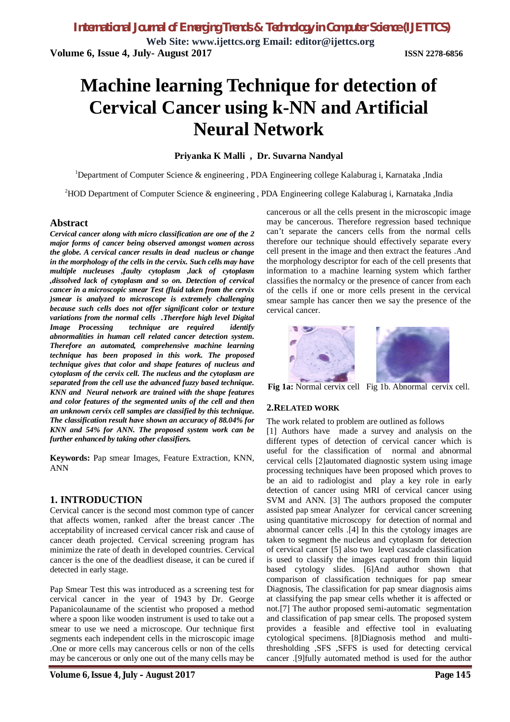**Web Site: www.ijettcs.org Email: editor@ijettcs.org Volume 6, Issue 4, July- August 2017 ISSN 2278-6856**

# **Machine learning Technique for detection of Cervical Cancer using k-NN and Artificial Neural Network**

## **Priyanka K Malli , Dr. Suvarna Nandyal**

<sup>1</sup>Department of Computer Science & engineering, PDA Engineering college Kalaburag i, Karnataka ,India

<sup>2</sup>HOD Department of Computer Science & engineering , PDA Engineering college Kalaburag i, Karnataka ,India

## **Abstract**

*Cervical cancer along with micro classification are one of the 2 major forms of cancer being observed amongst women across the globe. A cervical cancer results in dead nucleus or change in the morphology of the cells in the cervix. Such cells may have multiple nucleuses ,faulty cytoplasm ,lack of cytoplasm ,dissolved lack of cytoplasm and so on. Detection of cervical cancer in a microscopic smear Test (fluid taken from the cervix )smear is analyzed to microscope is extremely challenging because such cells does not offer significant color or texture variations from the normal cells .Therefore high level Digital Image Processing technique are required identify abnormalities in human cell related cancer detection system. Therefore an automated, comprehensive machine learning technique has been proposed in this work. The proposed technique gives that color and shape features of nucleus and cytoplasm of the cervix cell. The nucleus and the cytoplasm are separated from the cell use the advanced fuzzy based technique. KNN and Neural network are trained with the shape features and color features of the segmented units of the cell and then an unknown cervix cell samples are classified by this technique. The classification result have shown an accuracy of 88.04% for KNN and 54% for ANN. The proposed system work can be further enhanced by taking other classifiers.*

**Keywords:** Pap smear Images, Feature Extraction, KNN, ANN

## **1. INTRODUCTION**

Cervical cancer is the second most common type of cancer that affects women, ranked after the breast cancer .The acceptability of increased cervical cancer risk and cause of cancer death projected. Cervical screening program has minimize the rate of death in developed countries. Cervical cancer is the one of the deadliest disease, it can be cured if detected in early stage.

Pap Smear Test this was introduced as a screening test for cervical cancer in the year of 1943 by Dr. George Papanicolauname of the scientist who proposed a method where a spoon like wooden instrument is used to take out a smear to use we need a microscope. Our technique first segments each independent cells in the microscopic image .One or more cells may cancerous cells or non of the cells may be cancerous or only one out of the many cells may be

cancerous or all the cells present in the microscopic image may be cancerous. Therefore regression based technique can't separate the cancers cells from the normal cells therefore our technique should effectively separate every cell present in the image and then extract the features .And the morphology descriptor for each of the cell presents that information to a machine learning system which farther classifies the normalcy or the presence of cancer from each of the cells if one or more cells present in the cervical smear sample has cancer then we say the presence of the cervical cancer.



**Fig 1a:** Normal cervix cell Fig 1b. Abnormal cervix cell.

### **2.RELATED WORK**

The work related to problem are outlined as follows

[1] Authors have made a survey and analysis on the different types of detection of cervical cancer which is useful for the classification of normal and abnormal cervical cells [2]automated diagnostic system using image processing techniques have been proposed which proves to be an aid to radiologist and play a key role in early detection of cancer using MRI of cervical cancer using SVM and ANN. [3] The authors proposed the computer assisted pap smear Analyzer for cervical cancer screening using quantitative microscopy for detection of normal and abnormal cancer cells .[4] In this the cytology images are taken to segment the nucleus and cytoplasm for detection of cervical cancer [5] also two level cascade classification is used to classify the images captured from thin liquid based cytology slides. [6]And author shown that comparison of classification techniques for pap smear Diagnosis, The classification for pap smear diagnosis aims at classifying the pap smear cells whether it is affected or not.[7] The author proposed semi-automatic segmentation and classification of pap smear cells. The proposed system provides a feasible and effective tool in evaluating cytological specimens. [8]Diagnosis method and multithresholding ,SFS ,SFFS is used for detecting cervical cancer .[9]fully automated method is used for the author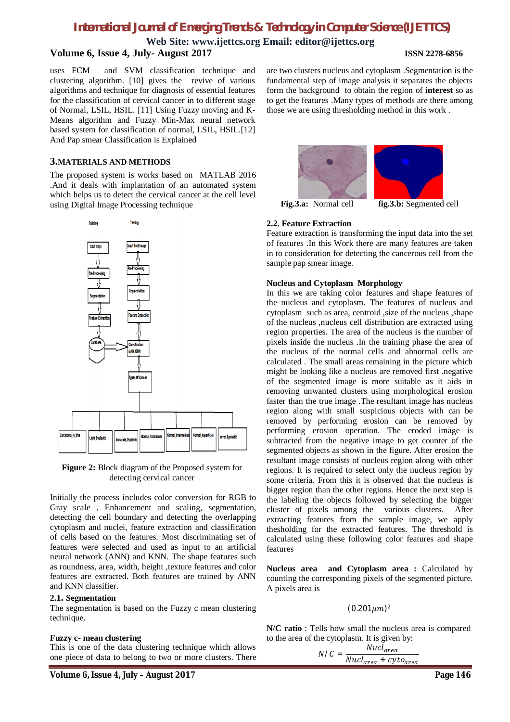**Web Site: www.ijettcs.org Email: editor@ijettcs.org**

## **Volume 6, Issue 4, July- August 2017 ISSN 2278-6856**

uses FCM and SVM classification technique and clustering algorithm. [10] gives the revive of various algorithms and technique for diagnosis of essential features for the classification of cervical cancer in to different stage of Normal, LSIL, HSIL. [11] Using Fuzzy moving and K-Means algorithm and Fuzzy Min-Max neural network based system for classification of normal, LSIL, HSIL.[12] And Pap smear Classification is Explained

## **3.MATERIALS AND METHODS**

The proposed system is works based on MATLAB 2016 .And it deals with implantation of an automated system which helps us to detect the cervical cancer at the cell level using Digital Image Processing technique



**Figure 2:** Block diagram of the Proposed system for detecting cervical cancer

Initially the process includes color conversion for RGB to Gray scale , Enhancement and scaling, segmentation, detecting the cell boundary and detecting the overlapping cytoplasm and nuclei, feature extraction and classification of cells based on the features. Most discriminating set of features were selected and used as input to an artificial neural network (ANN) and KNN. The shape features such as roundness, area, width, height ,texture features and color features are extracted. Both features are trained by ANN and KNN classifier.

#### **2.1. Segmentation**

The segmentation is based on the Fuzzy c mean clustering technique.

### **Fuzzy c- mean clustering**

This is one of the data clustering technique which allows one piece of data to belong to two or more clusters. There





**Fig.3.a:** Normal cell **fig.3.b:** Segmented cell

#### **2.2. Feature Extraction**

Feature extraction is transforming the input data into the set of features .In this Work there are many features are taken in to consideration for detecting the cancerous cell from the sample pap smear image.

#### **Nucleus and Cytoplasm Morphology**

In this we are taking color features and shape features of the nucleus and cytoplasm. The features of nucleus and cytoplasm such as area, centroid ,size of the nucleus ,shape of the nucleus ,nucleus cell distribution are extracted using region properties. The area of the nucleus is the number of pixels inside the nucleus .In the training phase the area of the nucleus of the normal cells and abnormal cells are calculated . The small areas remaining in the picture which might be looking like a nucleus are removed first .negative of the segmented image is more suitable as it aids in removing unwanted clusters using morphological erosion faster than the true image .The resultant image has nucleus region along with small suspicious objects with can be removed by performing erosion can be removed by performing erosion operation. The eroded image is subtracted from the negative image to get counter of the segmented objects as shown in the figure. After erosion the resultant image consists of nucleus region along with other regions. It is required to select only the nucleus region by some criteria. From this it is observed that the nucleus is bigger region than the other regions. Hence the next step is the labeling the objects followed by selecting the bigger cluster of pixels among the various clusters. After extracting features from the sample image, we apply thesholding for the extracted features. The threshold is calculated using these following color features and shape features

**Nucleus area and Cytoplasm area :** Calculated by counting the corresponding pixels of the segmented picture. A pixels area is

## $(0.201 \mu m)^2$

**N/C ratio** : Tells how small the nucleus area is compared to the area of the cytoplasm. It is given by:

$$
N/C = \frac{Nucl_{area}}{Nucl_{area} + cyto_{area}}
$$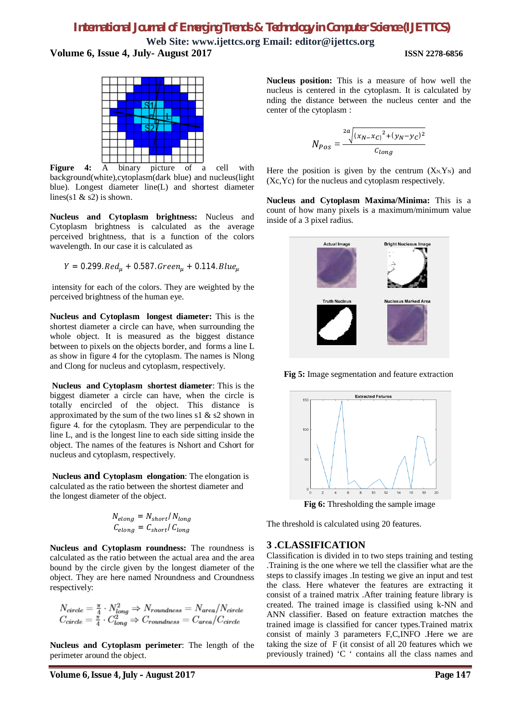**Web Site: www.ijettcs.org Email: editor@ijettcs.org Volume 6, Issue 4, July- August 2017 ISSN 2278-6856**



**Figure 4:** A binary picture of a cell with background(white),cytoplasm(dark blue) and nucleus(light blue). Longest diameter line(L) and shortest diameter lines(s1  $\&$  s2) is shown.

**Nucleus and Cytoplasm brightness:** Nucleus and Cytoplasm brightness is calculated as the average perceived brightness, that is a function of the colors wavelength. In our case it is calculated as

$$
Y = 0.299
$$
. $Red_{\mu} + 0.587$ . $Green_{\mu} + 0.114$ . $Blue_{\mu}$ 

intensity for each of the colors. They are weighted by the perceived brightness of the human eye.

**Nucleus and Cytoplasm longest diameter:** This is the shortest diameter a circle can have, when surrounding the whole object. It is measured as the biggest distance between to pixels on the objects border, and forms a line L as show in figure 4 for the cytoplasm. The names is Nlong and Clong for nucleus and cytoplasm, respectively.

**Nucleus and Cytoplasm shortest diameter**: This is the biggest diameter a circle can have, when the circle is totally encircled of the object. This distance is approximated by the sum of the two lines s1  $\&$  s2 shown in figure 4. for the cytoplasm. They are perpendicular to the line L, and is the longest line to each side sitting inside the object. The names of the features is Nshort and Cshort for nucleus and cytoplasm, respectively.

**Nucleus and Cytoplasm elongation**: The elongation is calculated as the ratio between the shortest diameter and the longest diameter of the object.

$$
N_{elong} = N_{short}/N_{long}
$$

$$
C_{elong} = C_{short}/C_{long}
$$

**Nucleus and Cytoplasm roundness:** The roundness is calculated as the ratio between the actual area and the area bound by the circle given by the longest diameter of the object. They are here named Nroundness and Croundness respectively:

$$
N_{circle} = \frac{\pi}{4} \cdot N_{long}^2 \Rightarrow N_{roundness} = N_{area}/N_{circle}
$$
  

$$
C_{circle} = \frac{\pi}{4} \cdot C_{long}^2 \Rightarrow C_{roundness} = C_{area}/C_{circle}
$$

**Nucleus and Cytoplasm perimeter**: The length of the perimeter around the object.

**Nucleus position:** This is a measure of how well the nucleus is centered in the cytoplasm. It is calculated by nding the distance between the nucleus center and the center of the cytoplasm :

$$
N_{Pos} = \frac{2a\sqrt{(x_N - x_C)^2 + (y_N - y_C)^2}}{c_{long}}
$$

Here the position is given by the centrum  $(X_N,Y_N)$  and (Xc,Yc) for the nucleus and cytoplasm respectively.

**Nucleus and Cytoplasm Maxima/Minima:** This is a count of how many pixels is a maximum/minimum value inside of a 3 pixel radius.



**Fig 5:** Image segmentation and feature extraction



The threshold is calculated using 20 features.

## **3 .CLASSIFICATION**

Classification is divided in to two steps training and testing .Training is the one where we tell the classifier what are the steps to classify images .In testing we give an input and test the class. Here whatever the features are extracting it consist of a trained matrix .After training feature library is created. The trained image is classified using k-NN and ANN classifier. Based on feature extraction matches the trained image is classified for cancer types.Trained matrix consist of mainly 3 parameters F,C,INFO .Here we are taking the size of F (it consist of all 20 features which we previously trained) 'C ' contains all the class names and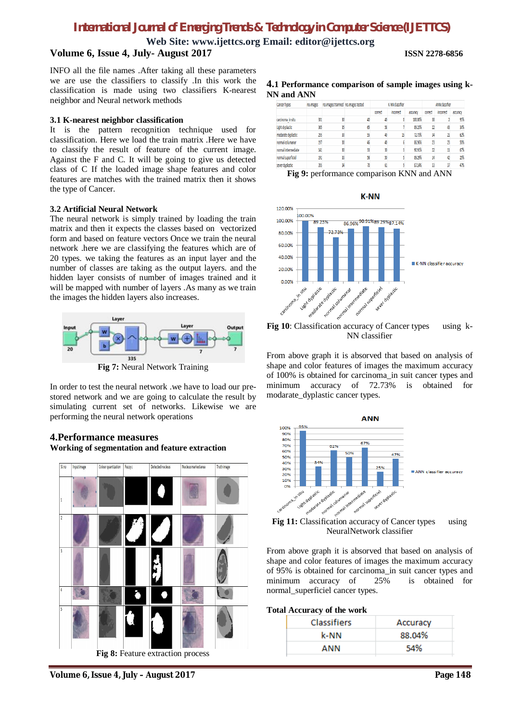**Web Site: www.ijettcs.org Email: editor@ijettcs.org**

## **Volume 6, Issue 4, July- August 2017 ISSN 2278-6856**

INFO all the file names .After taking all these parameters we are use the classifiers to classify .In this work the classification is made using two classifiers K-nearest neighbor and Neural network methods

#### **3.1 K-nearest neighbor classification**

It is the pattern recognition technique used for classification. Here we load the train matrix .Here we have to classify the result of feature of the current image. Against the F and C. It will be going to give us detected class of C If the loaded image shape features and color features are matches with the trained matrix then it shows the type of Cancer.

#### **3.2 Artificial Neural Network**

The neural network is simply trained by loading the train matrix and then it expects the classes based on vectorized form and based on feature vectors Once we train the neural network .here we are classifying the features which are of 20 types. we taking the features as an input layer and the number of classes are taking as the output layers. and the hidden layer consists of number of images trained and it will be mapped with number of layers .As many as we train the images the hidden layers also increases.



**Fig 7:** Neural Network Training

In order to test the neural network .we have to load our prestored network and we are going to calculate the result by simulating current set of networks. Likewise we are performing the neural network operations

## **4.Performance measures Working of segmentation and feature extraction**



**Fig 8:** Feature extraction process

**4.1 Performance comparison of sample images using k-NN and ANN**

| <b>Cancer Types</b> | no.images | no.images trainned no.images tested |    | K-NN classifier |           |          | <b>ANN</b> classifier   |           |          |
|---------------------|-----------|-------------------------------------|----|-----------------|-----------|----------|-------------------------|-----------|----------|
|                     |           |                                     |    | correct         | incorrect | accuracy | correct                 | incorrect | accuracy |
| carcinoma in situ   | 301       | 30                                  | 40 |                 |           | 100.00%  | 38                      |           | 95%      |
| Light dyplastic     | 365       | 35                                  | 65 | 58              |           | 89.23%   | $\overline{\mathbf{2}}$ | 43        | 34%      |
| modarate dyplastic  | 295       | 30                                  | 55 | 40              | 15        | 72.73%   | 34                      | 21        | 62%      |
| normal columanar    | 197       | 30                                  | 46 | 40              |           | 86,96%   | 23                      | 23        | 50%      |
| normal intermediate | 141       | 30                                  | 33 | 30              |           | 90.91%   | $\overline{\mathbf{2}}$ | 11        | 67%      |
| normal superficiel  | 191       | 33                                  | 56 | 50              |           | 89.29%   | 14                      | 42        | 25%      |
| sever dyplastic     | 395       |                                     | 70 | 61              |           | 87.14%   | 33                      | 37        | 47%      |

**Fig 9:** performance comparison KNN and ANN





**Fig 10**: Classification accuracy of Cancer types using k-NN classifier

From above graph it is absorved that based on analysis of shape and color features of images the maximum accuracy of 100% is obtained for carcinoma\_in suit cancer types and minimum accuracy of 72.73% is obtained for modarate\_dyplastic cancer types.



NeuralNetwork classifier

From above graph it is absorved that based on analysis of shape and color features of images the maximum accuracy of 95% is obtained for carcinoma\_in suit cancer types and minimum accuracy of 25% is obtained for normal\_superficiel cancer types.

#### **Total Accuracy of the work**

| <b>Classifiers</b> | Accuracy |  |  |  |  |
|--------------------|----------|--|--|--|--|
| k-NN               | 88.04%   |  |  |  |  |
| ANN                | 54%      |  |  |  |  |